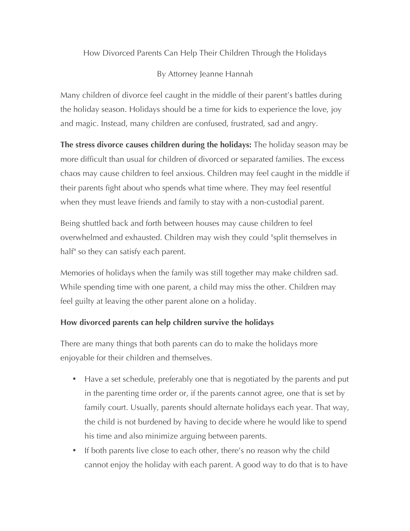How Divorced Parents Can Help Their Children Through the Holidays

## By Attorney Jeanne Hannah

Many children of divorce feel caught in the middle of their parent's battles during the holiday season. Holidays should be a time for kids to experience the love, joy and magic. Instead, many children are confused, frustrated, sad and angry.

**The stress divorce causes children during the holidays:** The holiday season may be more difficult than usual for children of divorced or separated families. The excess chaos may cause children to feel anxious. Children may feel caught in the middle if their parents fight about who spends what time where. They may feel resentful when they must leave friends and family to stay with a non-custodial parent.

Being shuttled back and forth between houses may cause children to feel overwhelmed and exhausted. Children may wish they could "split themselves in half" so they can satisfy each parent.

Memories of holidays when the family was still together may make children sad. While spending time with one parent, a child may miss the other. Children may feel guilty at leaving the other parent alone on a holiday.

## **How divorced parents can help children survive the holidays**

There are many things that both parents can do to make the holidays more enjoyable for their children and themselves.

- Have a set schedule, preferably one that is negotiated by the parents and put in the parenting time order or, if the parents cannot agree, one that is set by family court. Usually, parents should alternate holidays each year. That way, the child is not burdened by having to decide where he would like to spend his time and also minimize arguing between parents.
- If both parents live close to each other, there's no reason why the child cannot enjoy the holiday with each parent. A good way to do that is to have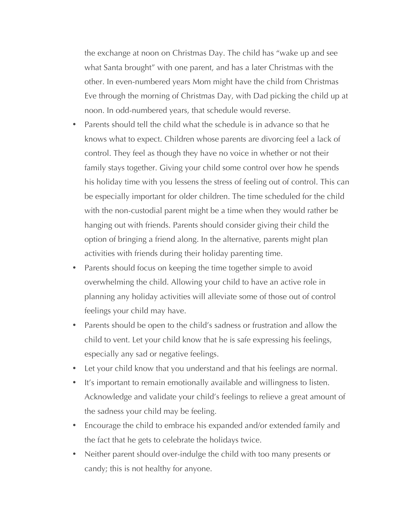the exchange at noon on Christmas Day. The child has "wake up and see what Santa brought" with one parent, and has a later Christmas with the other. In even-numbered years Mom might have the child from Christmas Eve through the morning of Christmas Day, with Dad picking the child up at noon. In odd-numbered years, that schedule would reverse.

- Parents should tell the child what the schedule is in advance so that he knows what to expect. Children whose parents are divorcing feel a lack of control. They feel as though they have no voice in whether or not their family stays together. Giving your child some control over how he spends his holiday time with you lessens the stress of feeling out of control. This can be especially important for older children. The time scheduled for the child with the non-custodial parent might be a time when they would rather be hanging out with friends. Parents should consider giving their child the option of bringing a friend along. In the alternative, parents might plan activities with friends during their holiday parenting time.
- Parents should focus on keeping the time together simple to avoid overwhelming the child. Allowing your child to have an active role in planning any holiday activities will alleviate some of those out of control feelings your child may have.
- Parents should be open to the child's sadness or frustration and allow the child to vent. Let your child know that he is safe expressing his feelings, especially any sad or negative feelings.
- Let your child know that you understand and that his feelings are normal.
- It's important to remain emotionally available and willingness to listen. Acknowledge and validate your child's feelings to relieve a great amount of the sadness your child may be feeling.
- Encourage the child to embrace his expanded and/or extended family and the fact that he gets to celebrate the holidays twice.
- Neither parent should over-indulge the child with too many presents or candy; this is not healthy for anyone.